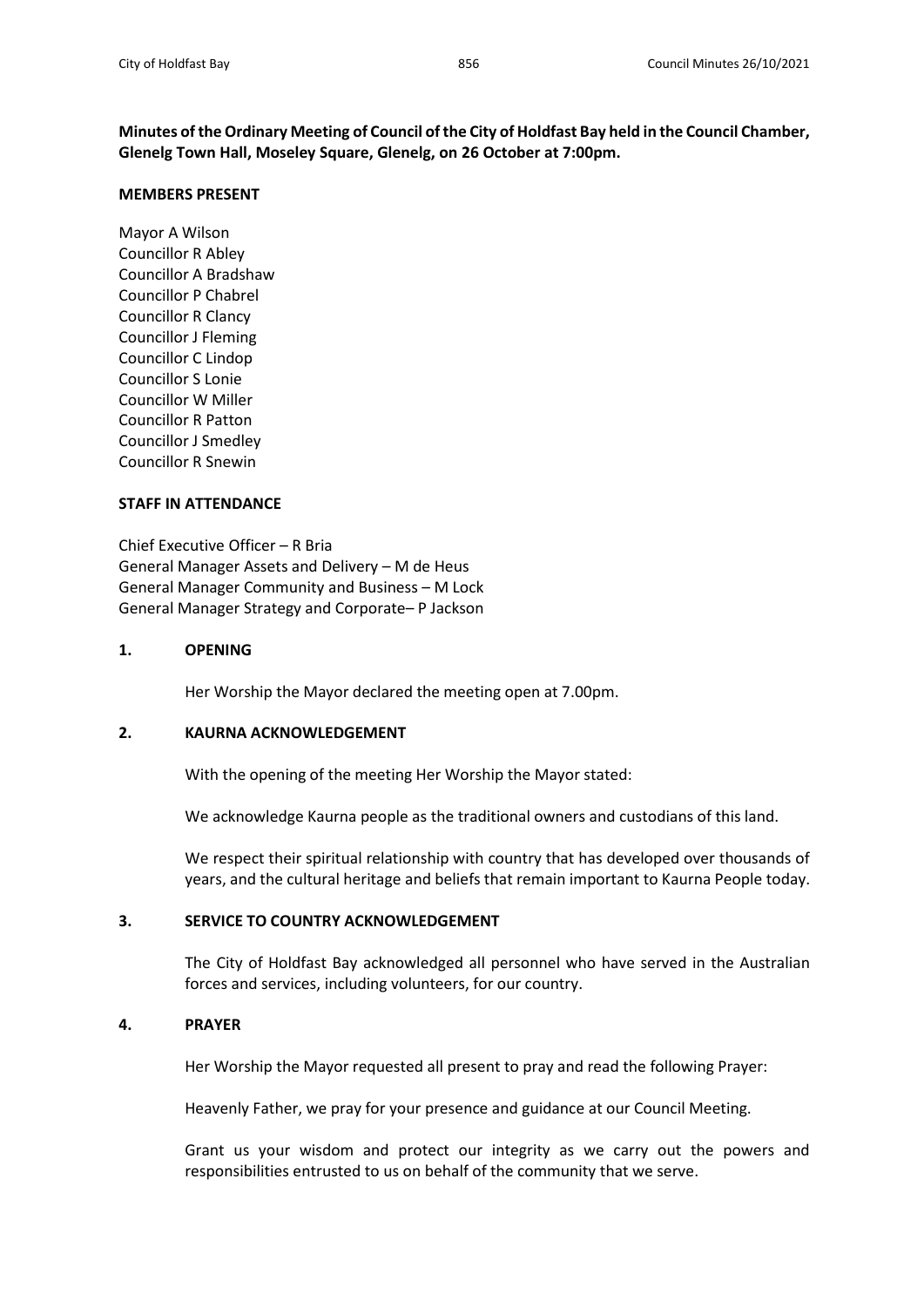**Minutes of the Ordinary Meeting of Council of the City of Holdfast Bay held in the Council Chamber, Glenelg Town Hall, Moseley Square, Glenelg, on 26 October at 7:00pm.**

### **MEMBERS PRESENT**

Mayor A Wilson Councillor R Abley Councillor A Bradshaw Councillor P Chabrel Councillor R Clancy Councillor J Fleming Councillor C Lindop Councillor S Lonie Councillor W Miller Councillor R Patton Councillor J Smedley Councillor R Snewin

# **STAFF IN ATTENDANCE**

Chief Executive Officer – R Bria General Manager Assets and Delivery – M de Heus General Manager Community and Business – M Lock General Manager Strategy and Corporate– P Jackson

## **1. OPENING**

Her Worship the Mayor declared the meeting open at 7.00pm.

# **2. KAURNA ACKNOWLEDGEMENT**

With the opening of the meeting Her Worship the Mayor stated:

We acknowledge Kaurna people as the traditional owners and custodians of this land.

We respect their spiritual relationship with country that has developed over thousands of years, and the cultural heritage and beliefs that remain important to Kaurna People today.

# **3. SERVICE TO COUNTRY ACKNOWLEDGEMENT**

The City of Holdfast Bay acknowledged all personnel who have served in the Australian forces and services, including volunteers, for our country.

# **4. PRAYER**

Her Worship the Mayor requested all present to pray and read the following Prayer:

Heavenly Father, we pray for your presence and guidance at our Council Meeting.

Grant us your wisdom and protect our integrity as we carry out the powers and responsibilities entrusted to us on behalf of the community that we serve.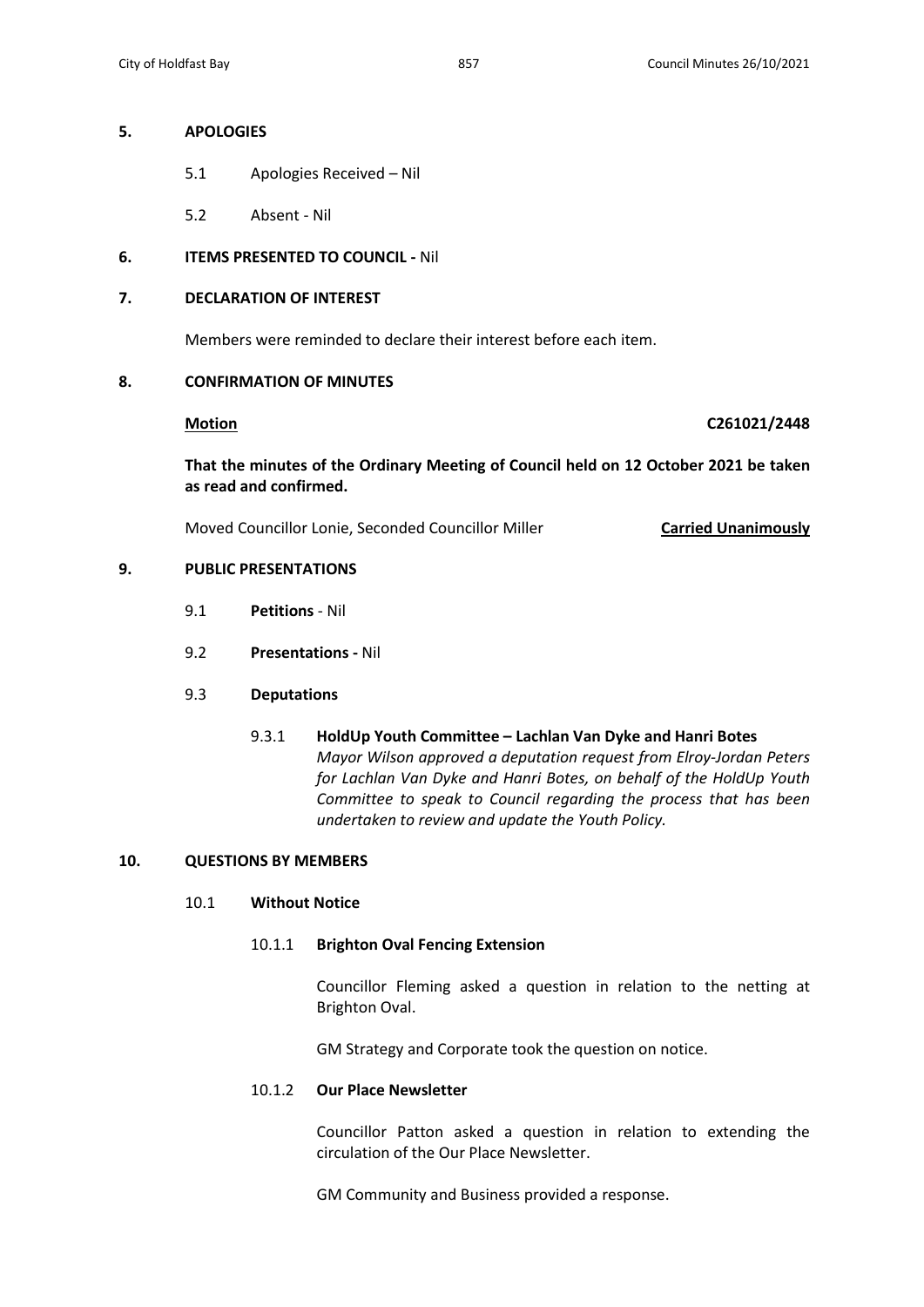# **5. APOLOGIES**

- 5.1 Apologies Received Nil
- 5.2 Absent Nil

# **6. ITEMS PRESENTED TO COUNCIL -** Nil

# **7. DECLARATION OF INTEREST**

Members were reminded to declare their interest before each item.

# **8. CONFIRMATION OF MINUTES**

**Motion C261021/2448**

**That the minutes of the Ordinary Meeting of Council held on 12 October 2021 be taken as read and confirmed.**

Moved Councillor Lonie, Seconded Councillor Miller **Carried Unanimously**

# **9. PUBLIC PRESENTATIONS**

- 9.1 **Petitions** Nil
- 9.2 **Presentations -** Nil

# 9.3 **Deputations**

9.3.1 **HoldUp Youth Committee – Lachlan Van Dyke and Hanri Botes** *Mayor Wilson approved a deputation request from Elroy-Jordan Peters for Lachlan Van Dyke and Hanri Botes, on behalf of the HoldUp Youth Committee to speak to Council regarding the process that has been undertaken to review and update the Youth Policy.*

# **10. QUESTIONS BY MEMBERS**

### 10.1 **Without Notice**

### 10.1.1 **Brighton Oval Fencing Extension**

Councillor Fleming asked a question in relation to the netting at Brighton Oval.

GM Strategy and Corporate took the question on notice.

# 10.1.2 **Our Place Newsletter**

Councillor Patton asked a question in relation to extending the circulation of the Our Place Newsletter.

GM Community and Business provided a response.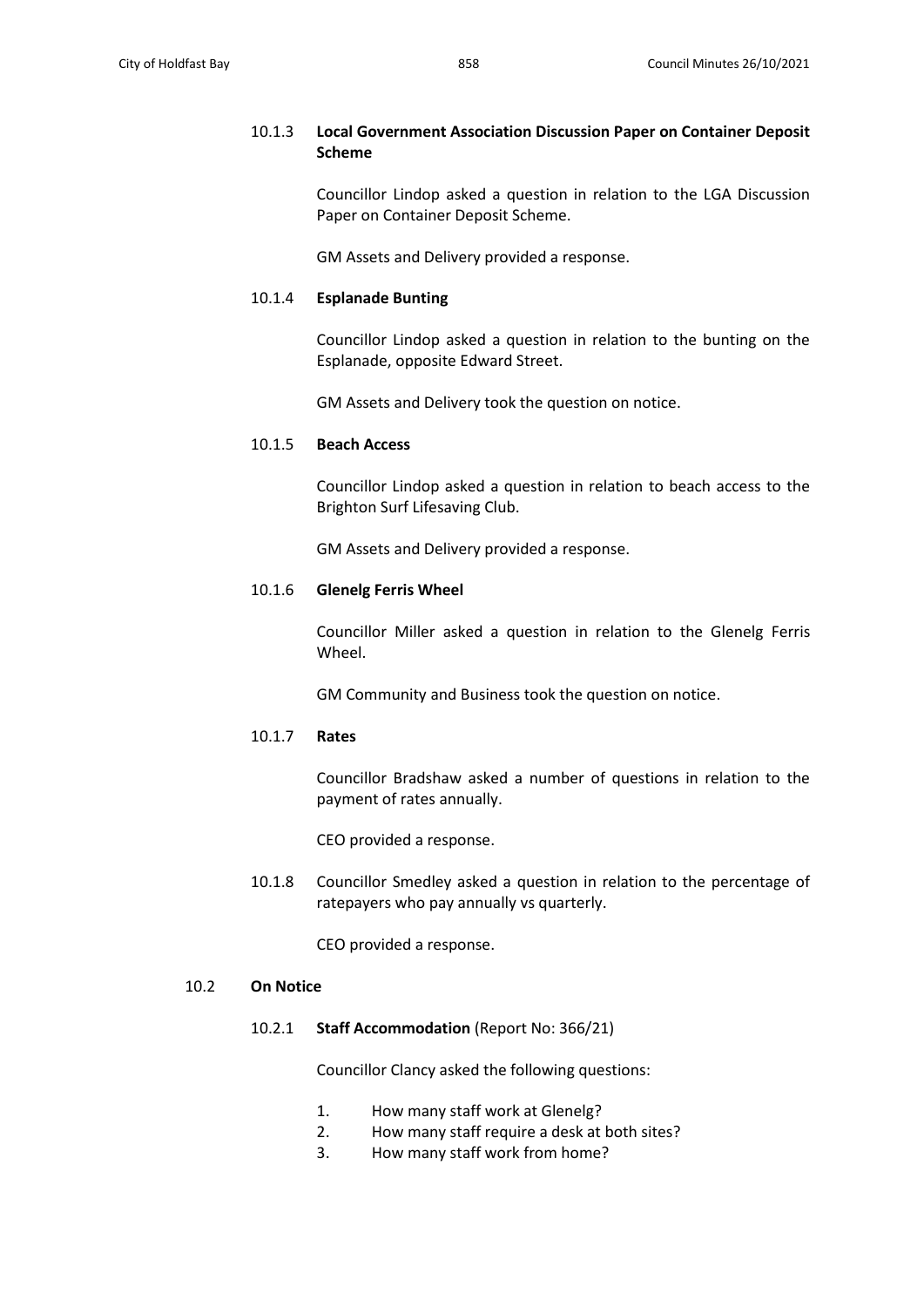# 10.1.3 **Local Government Association Discussion Paper on Container Deposit Scheme**

Councillor Lindop asked a question in relation to the LGA Discussion Paper on Container Deposit Scheme.

GM Assets and Delivery provided a response.

# 10.1.4 **Esplanade Bunting**

Councillor Lindop asked a question in relation to the bunting on the Esplanade, opposite Edward Street.

GM Assets and Delivery took the question on notice.

### 10.1.5 **Beach Access**

Councillor Lindop asked a question in relation to beach access to the Brighton Surf Lifesaving Club.

GM Assets and Delivery provided a response.

### 10.1.6 **Glenelg Ferris Wheel**

Councillor Miller asked a question in relation to the Glenelg Ferris Wheel.

GM Community and Business took the question on notice.

### 10.1.7 **Rates**

Councillor Bradshaw asked a number of questions in relation to the payment of rates annually.

CEO provided a response.

10.1.8 Councillor Smedley asked a question in relation to the percentage of ratepayers who pay annually vs quarterly.

CEO provided a response.

# 10.2 **On Notice**

10.2.1 **Staff Accommodation** (Report No: 366/21)

Councillor Clancy asked the following questions:

- 1. How many staff work at Glenelg?
- 2. How many staff require a desk at both sites?
- 3. How many staff work from home?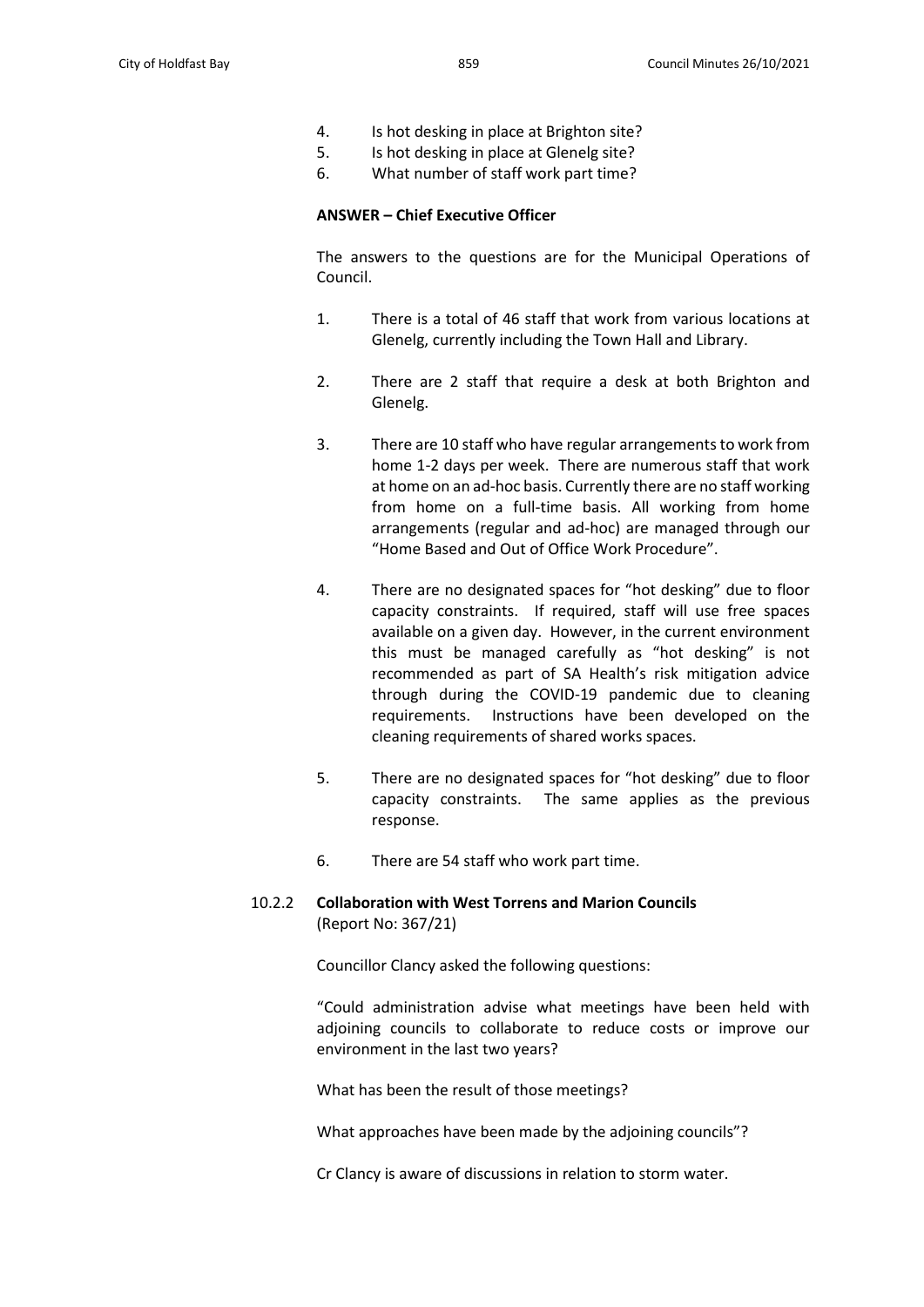- 4. Is hot desking in place at Brighton site?
- 5. Is hot desking in place at Glenelg site?
- 6. What number of staff work part time?

### **ANSWER – Chief Executive Officer**

The answers to the questions are for the Municipal Operations of Council.

- 1. There is a total of 46 staff that work from various locations at Glenelg, currently including the Town Hall and Library.
- 2. There are 2 staff that require a desk at both Brighton and Glenelg.
- 3. There are 10 staff who have regular arrangements to work from home 1-2 days per week. There are numerous staff that work at home on an ad-hoc basis. Currently there are no staff working from home on a full-time basis. All working from home arrangements (regular and ad-hoc) are managed through our "Home Based and Out of Office Work Procedure".
- 4. There are no designated spaces for "hot desking" due to floor capacity constraints. If required, staff will use free spaces available on a given day. However, in the current environment this must be managed carefully as "hot desking" is not recommended as part of SA Health's risk mitigation advice through during the COVID-19 pandemic due to cleaning requirements. Instructions have been developed on the cleaning requirements of shared works spaces.
- 5. There are no designated spaces for "hot desking" due to floor capacity constraints. The same applies as the previous response.
- 6. There are 54 staff who work part time.

# 10.2.2 **Collaboration with West Torrens and Marion Councils** (Report No: 367/21)

Councillor Clancy asked the following questions:

"Could administration advise what meetings have been held with adjoining councils to collaborate to reduce costs or improve our environment in the last two years?

What has been the result of those meetings?

What approaches have been made by the adjoining councils"?

Cr Clancy is aware of discussions in relation to storm water.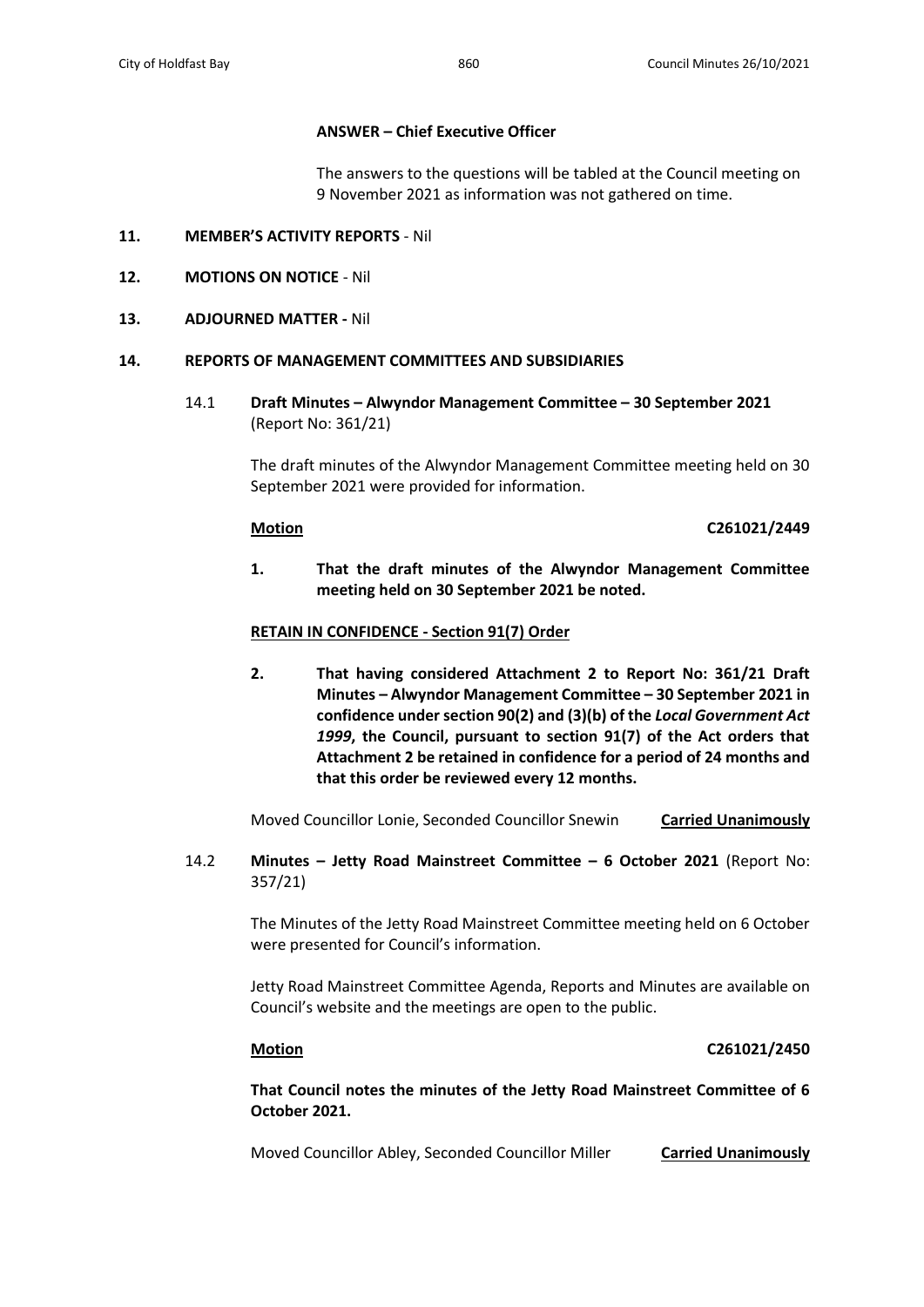# **ANSWER – Chief Executive Officer**

The answers to the questions will be tabled at the Council meeting on 9 November 2021 as information was not gathered on time.

## **11. MEMBER'S ACTIVITY REPORTS** - Nil

# **12. MOTIONS ON NOTICE** - Nil

# **13. ADJOURNED MATTER -** Nil

### **14. REPORTS OF MANAGEMENT COMMITTEES AND SUBSIDIARIES**

14.1 **Draft Minutes – Alwyndor Management Committee – 30 September 2021** (Report No: 361/21)

> The draft minutes of the Alwyndor Management Committee meeting held on 30 September 2021 were provided for information.

### **Motion C261021/2449**

**1. That the draft minutes of the Alwyndor Management Committee meeting held on 30 September 2021 be noted.**

# **RETAIN IN CONFIDENCE - Section 91(7) Order**

**2. That having considered Attachment 2 to Report No: 361/21 Draft Minutes – Alwyndor Management Committee – 30 September 2021 in confidence under section 90(2) and (3)(b) of the** *Local Government Act 1999***, the Council, pursuant to section 91(7) of the Act orders that Attachment 2 be retained in confidence for a period of 24 months and that this order be reviewed every 12 months.**

Moved Councillor Lonie, Seconded Councillor Snewin **Carried Unanimously**

14.2 **Minutes – Jetty Road Mainstreet Committee – 6 October 2021** (Report No: 357/21)

> The Minutes of the Jetty Road Mainstreet Committee meeting held on 6 October were presented for Council's information.

> Jetty Road Mainstreet Committee Agenda, Reports and Minutes are available on Council's website and the meetings are open to the public.

# **Motion C261021/2450**

**That Council notes the minutes of the Jetty Road Mainstreet Committee of 6 October 2021.**

Moved Councillor Abley, Seconded Councillor Miller **Carried Unanimously**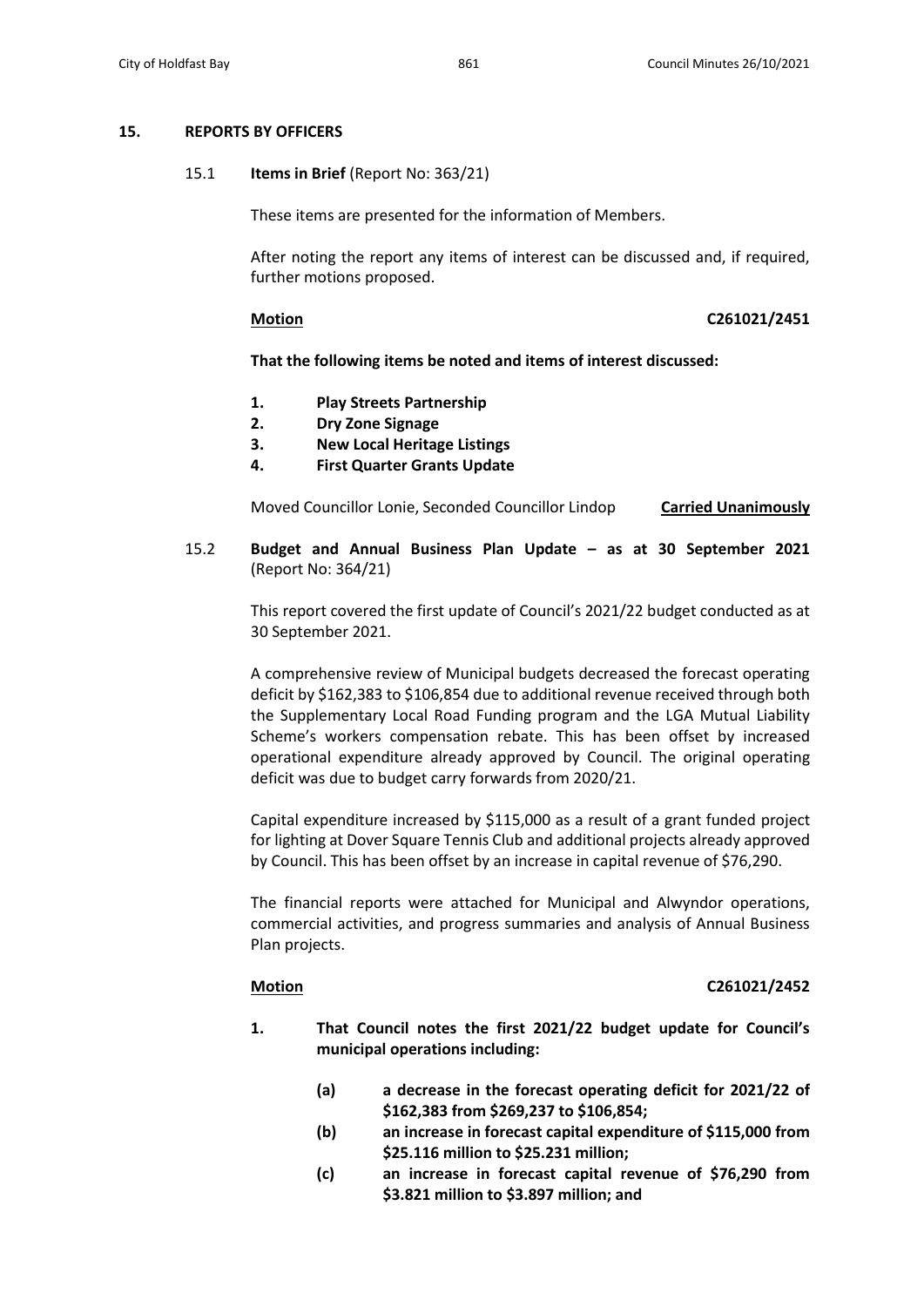### **15. REPORTS BY OFFICERS**

15.1 **Items in Brief** (Report No: 363/21)

These items are presented for the information of Members.

After noting the report any items of interest can be discussed and, if required, further motions proposed.

### **Motion C261021/2451**

### **That the following items be noted and items of interest discussed:**

- **1. Play Streets Partnership**
- **2. Dry Zone Signage**
- **3. New Local Heritage Listings**
- **4. First Quarter Grants Update**

Moved Councillor Lonie, Seconded Councillor Lindop **Carried Unanimously**

# 15.2 **Budget and Annual Business Plan Update – as at 30 September 2021**  (Report No: 364/21)

This report covered the first update of Council's 2021/22 budget conducted as at 30 September 2021.

A comprehensive review of Municipal budgets decreased the forecast operating deficit by \$162,383 to \$106,854 due to additional revenue received through both the Supplementary Local Road Funding program and the LGA Mutual Liability Scheme's workers compensation rebate. This has been offset by increased operational expenditure already approved by Council. The original operating deficit was due to budget carry forwards from 2020/21.

Capital expenditure increased by \$115,000 as a result of a grant funded project for lighting at Dover Square Tennis Club and additional projects already approved by Council. This has been offset by an increase in capital revenue of \$76,290.

The financial reports were attached for Municipal and Alwyndor operations, commercial activities, and progress summaries and analysis of Annual Business Plan projects.

### **Motion C261021/2452**

- **1. That Council notes the first 2021/22 budget update for Council's municipal operations including:**
	- **(a) a decrease in the forecast operating deficit for 2021/22 of \$162,383 from \$269,237 to \$106,854;**
	- **(b) an increase in forecast capital expenditure of \$115,000 from \$25.116 million to \$25.231 million;**
	- **(c) an increase in forecast capital revenue of \$76,290 from \$3.821 million to \$3.897 million; and**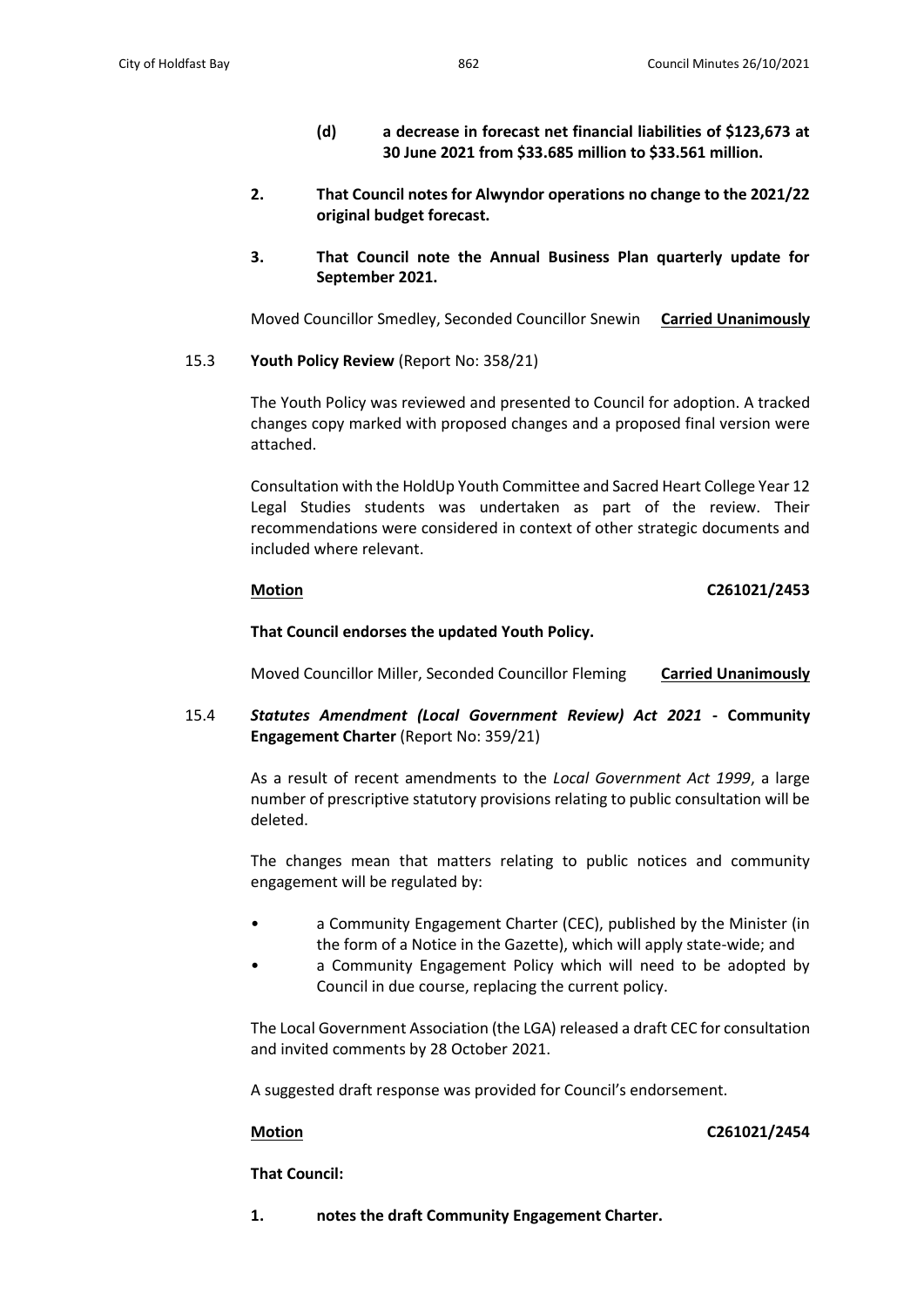- **(d) a decrease in forecast net financial liabilities of \$123,673 at 30 June 2021 from \$33.685 million to \$33.561 million.**
- **2. That Council notes for Alwyndor operations no change to the 2021/22 original budget forecast.**
- **3. That Council note the Annual Business Plan quarterly update for September 2021.**

Moved Councillor Smedley, Seconded Councillor Snewin **Carried Unanimously**

15.3 **Youth Policy Review** (Report No: 358/21)

The Youth Policy was reviewed and presented to Council for adoption. A tracked changes copy marked with proposed changes and a proposed final version were attached.

Consultation with the HoldUp Youth Committee and Sacred Heart College Year 12 Legal Studies students was undertaken as part of the review. Their recommendations were considered in context of other strategic documents and included where relevant.

### **Motion C261021/2453**

### **That Council endorses the updated Youth Policy.**

Moved Councillor Miller, Seconded Councillor Fleming **Carried Unanimously**

15.4 *Statutes Amendment (Local Government Review) Act 2021* **- Community Engagement Charter** (Report No: 359/21)

> As a result of recent amendments to the *Local Government Act 1999*, a large number of prescriptive statutory provisions relating to public consultation will be deleted.

> The changes mean that matters relating to public notices and community engagement will be regulated by:

- a Community Engagement Charter (CEC), published by the Minister (in the form of a Notice in the Gazette), which will apply state-wide; and
- a Community Engagement Policy which will need to be adopted by Council in due course, replacing the current policy.

The Local Government Association (the LGA) released a draft CEC for consultation and invited comments by 28 October 2021.

A suggested draft response was provided for Council's endorsement.

### **Motion C261021/2454**

**That Council:**

**1. notes the draft Community Engagement Charter.**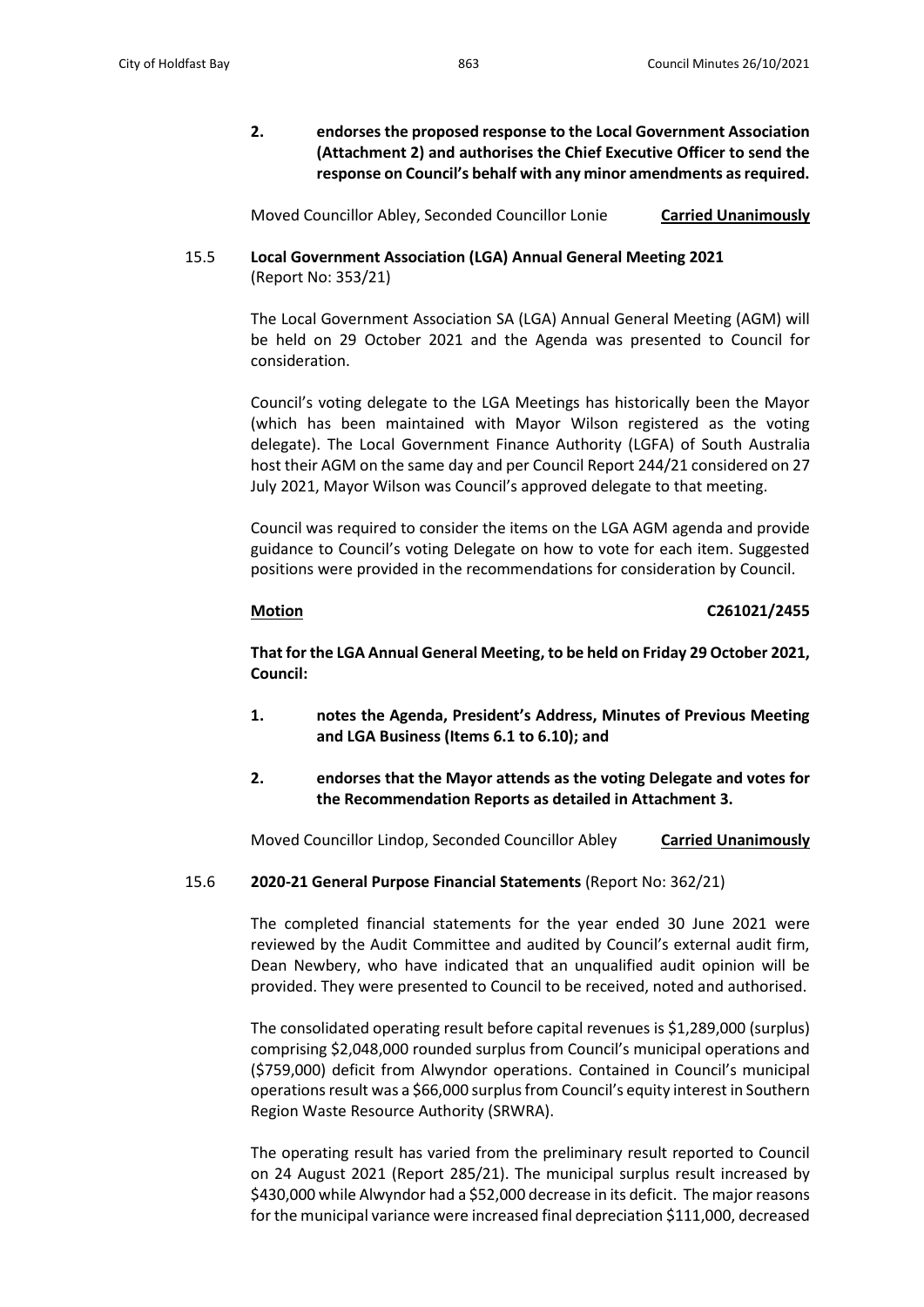**2. endorses the proposed response to the Local Government Association (Attachment 2) and authorises the Chief Executive Officer to send the response on Council's behalf with any minor amendments as required.**

Moved Councillor Abley, Seconded Councillor Lonie **Carried Unanimously**

# 15.5 **Local Government Association (LGA) Annual General Meeting 2021** (Report No: 353/21)

The Local Government Association SA (LGA) Annual General Meeting (AGM) will be held on 29 October 2021 and the Agenda was presented to Council for consideration.

Council's voting delegate to the LGA Meetings has historically been the Mayor (which has been maintained with Mayor Wilson registered as the voting delegate). The Local Government Finance Authority (LGFA) of South Australia host their AGM on the same day and per Council Report 244/21 considered on 27 July 2021, Mayor Wilson was Council's approved delegate to that meeting.

Council was required to consider the items on the LGA AGM agenda and provide guidance to Council's voting Delegate on how to vote for each item. Suggested positions were provided in the recommendations for consideration by Council.

### **Motion C261021/2455**

**That for the LGA Annual General Meeting, to be held on Friday 29 October 2021, Council:**

- **1. notes the Agenda, President's Address, Minutes of Previous Meeting and LGA Business (Items 6.1 to 6.10); and**
- **2. endorses that the Mayor attends as the voting Delegate and votes for the Recommendation Reports as detailed in Attachment 3.**

Moved Councillor Lindop, Seconded Councillor Abley **Carried Unanimously**

### 15.6 **2020-21 General Purpose Financial Statements** (Report No: 362/21)

The completed financial statements for the year ended 30 June 2021 were reviewed by the Audit Committee and audited by Council's external audit firm, Dean Newbery, who have indicated that an unqualified audit opinion will be provided. They were presented to Council to be received, noted and authorised.

The consolidated operating result before capital revenues is \$1,289,000 (surplus) comprising \$2,048,000 rounded surplus from Council's municipal operations and (\$759,000) deficit from Alwyndor operations. Contained in Council's municipal operations result was a \$66,000 surplus from Council's equity interest in Southern Region Waste Resource Authority (SRWRA).

The operating result has varied from the preliminary result reported to Council on 24 August 2021 (Report 285/21). The municipal surplus result increased by \$430,000 while Alwyndor had a \$52,000 decrease in its deficit. The major reasons for the municipal variance were increased final depreciation \$111,000, decreased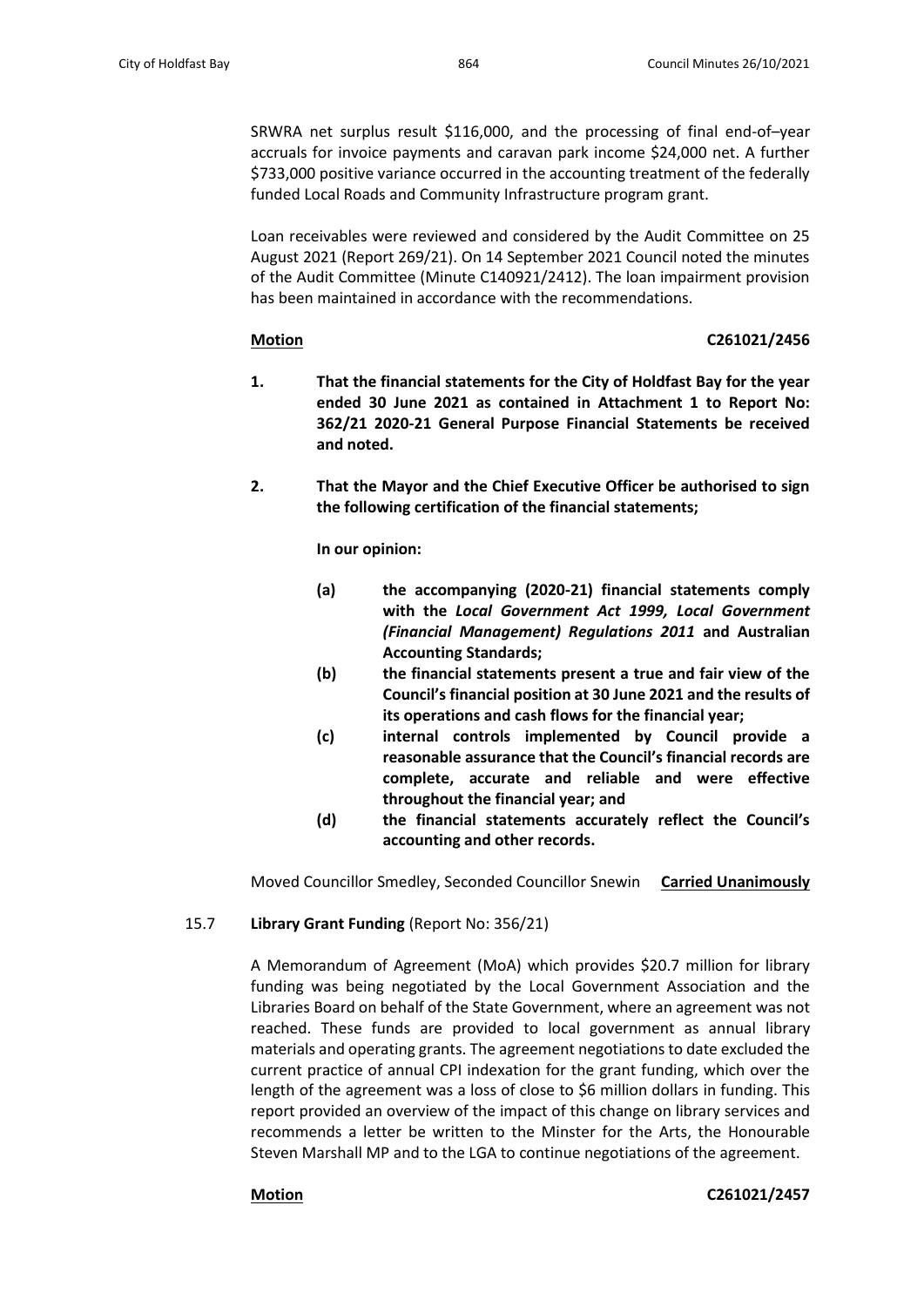SRWRA net surplus result \$116,000, and the processing of final end-of–year accruals for invoice payments and caravan park income \$24,000 net. A further \$733,000 positive variance occurred in the accounting treatment of the federally funded Local Roads and Community Infrastructure program grant.

Loan receivables were reviewed and considered by the Audit Committee on 25 August 2021 (Report 269/21). On 14 September 2021 Council noted the minutes of the Audit Committee (Minute C140921/2412). The loan impairment provision has been maintained in accordance with the recommendations.

# **Motion C261021/2456**

- **1. That the financial statements for the City of Holdfast Bay for the year ended 30 June 2021 as contained in Attachment 1 to Report No: 362/21 2020-21 General Purpose Financial Statements be received and noted.**
- **2. That the Mayor and the Chief Executive Officer be authorised to sign the following certification of the financial statements;**

**In our opinion:**

- **(a) the accompanying (2020-21) financial statements comply with the** *Local Government Act 1999, Local Government (Financial Management) Regulations 2011* **and Australian Accounting Standards;**
- **(b) the financial statements present a true and fair view of the Council's financial position at 30 June 2021 and the results of its operations and cash flows for the financial year;**
- **(c) internal controls implemented by Council provide a reasonable assurance that the Council's financial records are complete, accurate and reliable and were effective throughout the financial year; and**
- **(d) the financial statements accurately reflect the Council's accounting and other records.**

Moved Councillor Smedley, Seconded Councillor Snewin **Carried Unanimously**

# 15.7 **Library Grant Funding** (Report No: 356/21)

A Memorandum of Agreement (MoA) which provides \$20.7 million for library funding was being negotiated by the Local Government Association and the Libraries Board on behalf of the State Government, where an agreement was not reached. These funds are provided to local government as annual library materials and operating grants. The agreement negotiations to date excluded the current practice of annual CPI indexation for the grant funding, which over the length of the agreement was a loss of close to \$6 million dollars in funding. This report provided an overview of the impact of this change on library services and recommends a letter be written to the Minster for the Arts, the Honourable Steven Marshall MP and to the LGA to continue negotiations of the agreement.

**Motion C261021/2457**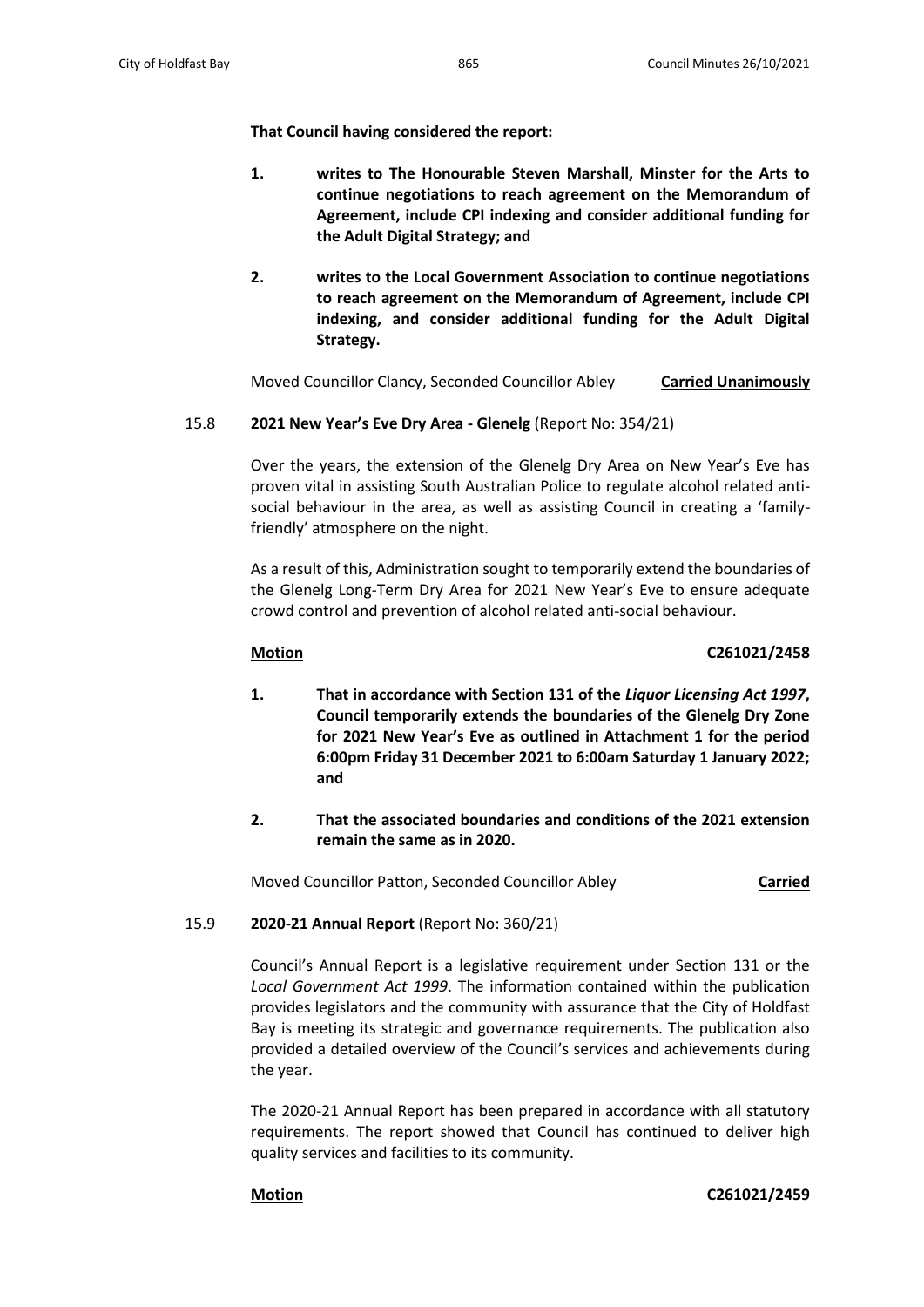**That Council having considered the report:**

- **1. writes to The Honourable Steven Marshall, Minster for the Arts to continue negotiations to reach agreement on the Memorandum of Agreement, include CPI indexing and consider additional funding for the Adult Digital Strategy; and**
- **2. writes to the Local Government Association to continue negotiations to reach agreement on the Memorandum of Agreement, include CPI indexing, and consider additional funding for the Adult Digital Strategy.**

Moved Councillor Clancy, Seconded Councillor Abley **Carried Unanimously**

# 15.8 **2021 New Year's Eve Dry Area - Glenelg** (Report No: 354/21)

Over the years, the extension of the Glenelg Dry Area on New Year's Eve has proven vital in assisting South Australian Police to regulate alcohol related antisocial behaviour in the area, as well as assisting Council in creating a 'familyfriendly' atmosphere on the night.

As a result of this, Administration sought to temporarily extend the boundaries of the Glenelg Long-Term Dry Area for 2021 New Year's Eve to ensure adequate crowd control and prevention of alcohol related anti-social behaviour.

# **Motion C261021/2458**

- **1. That in accordance with Section 131 of the** *Liquor Licensing Act 1997***, Council temporarily extends the boundaries of the Glenelg Dry Zone for 2021 New Year's Eve as outlined in Attachment 1 for the period 6:00pm Friday 31 December 2021 to 6:00am Saturday 1 January 2022; and**
- **2. That the associated boundaries and conditions of the 2021 extension remain the same as in 2020.**

Moved Councillor Patton, Seconded Councillor Abley **Carried**

# 15.9 **2020-21 Annual Report** (Report No: 360/21)

Council's Annual Report is a legislative requirement under Section 131 or the *Local Government Act 1999*. The information contained within the publication provides legislators and the community with assurance that the City of Holdfast Bay is meeting its strategic and governance requirements. The publication also provided a detailed overview of the Council's services and achievements during the year.

The 2020-21 Annual Report has been prepared in accordance with all statutory requirements. The report showed that Council has continued to deliver high quality services and facilities to its community.